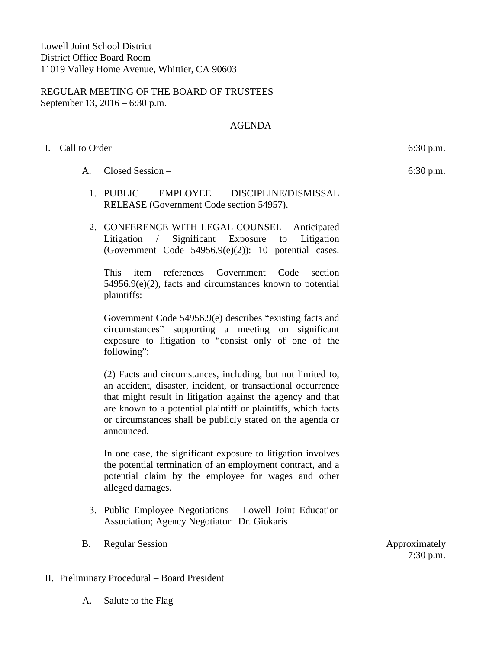REGULAR MEETING OF THE BOARD OF TRUSTEES September 13, 2016 – 6:30 p.m.

# AGENDA

# I. Call to Order 6:30 p.m.

- A. Closed Session
	- 1. PUBLIC EMPLOYEE DISCIPLINE/DISMISSAL RELEASE (Government Code section 54957).
	- 2. CONFERENCE WITH LEGAL COUNSEL Anticipated Litigation / Significant Exposure to Litigation (Government Code  $54956.9(e)(2)$ ): 10 potential cases.

This item references Government Code section 54956.9(e)(2), facts and circumstances known to potential plaintiffs:

Government Code 54956.9(e) describes "existing facts and circumstances" supporting a meeting on significant exposure to litigation to "consist only of one of the following":

(2) Facts and circumstances, including, but not limited to, an accident, disaster, incident, or transactional occurrence that might result in litigation against the agency and that are known to a potential plaintiff or plaintiffs, which facts or circumstances shall be publicly stated on the agenda or announced.

In one case, the significant exposure to litigation involves the potential termination of an employment contract, and a potential claim by the employee for wages and other alleged damages.

- 3. Public Employee Negotiations Lowell Joint Education Association; Agency Negotiator: Dr. Giokaris
- B. Regular Session **Approximately**

7:30 p.m.

- II. Preliminary Procedural Board President
	- A. Salute to the Flag

6:30 p.m.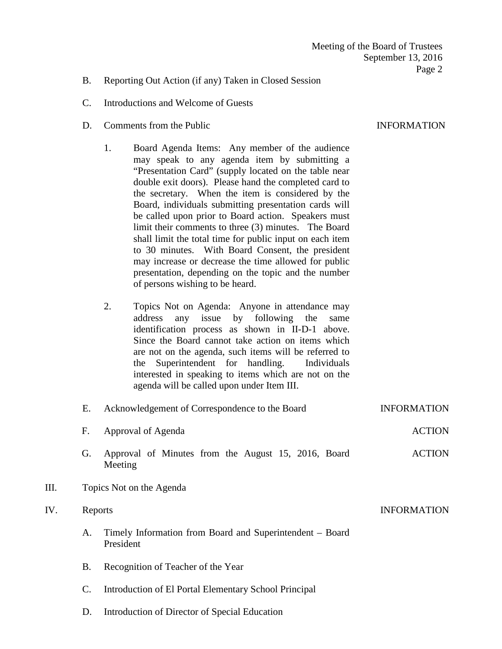### B. Reporting Out Action (if any) Taken in Closed Session

- C. Introductions and Welcome of Guests
- D. Comments from the Public INFORMATION
	- 1. Board Agenda Items: Any member of the audience may speak to any agenda item by submitting a "Presentation Card" (supply located on the table near double exit doors). Please hand the completed card to the secretary. When the item is considered by the Board, individuals submitting presentation cards will be called upon prior to Board action. Speakers must limit their comments to three (3) minutes. The Board shall limit the total time for public input on each item to 30 minutes. With Board Consent, the president may increase or decrease the time allowed for public presentation, depending on the topic and the number of persons wishing to be heard.
	- 2. Topics Not on Agenda: Anyone in attendance may address any issue by following the same identification process as shown in II-D-1 above. Since the Board cannot take action on items which are not on the agenda, such items will be referred to the Superintendent for handling. Individuals interested in speaking to items which are not on the agenda will be called upon under Item III.

|      | Е.                                                                          | Acknowledgement of Correspondence to the Board                 | <b>INFORMATION</b> |  |
|------|-----------------------------------------------------------------------------|----------------------------------------------------------------|--------------------|--|
|      | F.                                                                          | Approval of Agenda                                             | <b>ACTION</b>      |  |
|      | G.                                                                          | Approval of Minutes from the August 15, 2016, Board<br>Meeting | <b>ACTION</b>      |  |
| III. |                                                                             | Topics Not on the Agenda                                       |                    |  |
| IV.  |                                                                             | Reports                                                        | <b>INFORMATION</b> |  |
|      | Timely Information from Board and Superintendent – Board<br>A.<br>President |                                                                |                    |  |
|      | В.                                                                          | Recognition of Teacher of the Year                             |                    |  |

- 
- C. Introduction of El Portal Elementary School Principal
- D. Introduction of Director of Special Education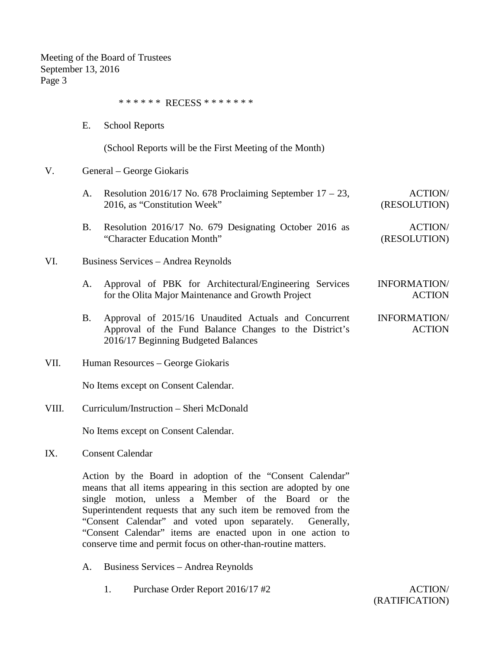\* \* \* \* \* \* RECESS \* \* \* \* \* \* \*

E. School Reports

(School Reports will be the First Meeting of the Month)

### V. General – George Giokaris

|     | A. | Resolution 2016/17 No. 678 Proclaiming September $17 - 23$ ,<br>2016, as "Constitution Week"                 | <b>ACTION/</b><br>(RESOLUTION)       |  |
|-----|----|--------------------------------------------------------------------------------------------------------------|--------------------------------------|--|
|     | Β. | Resolution 2016/17 No. 679 Designating October 2016 as<br>"Character Education Month"                        | <b>ACTION/</b><br>(RESOLUTION)       |  |
| VI. |    | Business Services – Andrea Reynolds                                                                          |                                      |  |
|     | A. | Approval of PBK for Architectural/Engineering Services<br>for the Olita Major Maintenance and Growth Project | <b>INFORMATION/</b><br><b>ACTION</b> |  |
|     |    | Approval of 2015/16 Unoudited Actuals and Consument                                                          | INIEODMA TIONI/                      |  |

- B. Approval of 2015/16 Unaudited Actuals and Concurrent Approval of the Fund Balance Changes to the District's 2016/17 Beginning Budgeted Balances INFORMATION/ ACTION
- VII. Human Resources George Giokaris

No Items except on Consent Calendar.

VIII. Curriculum/Instruction – Sheri McDonald

No Items except on Consent Calendar.

IX. Consent Calendar

Action by the Board in adoption of the "Consent Calendar" means that all items appearing in this section are adopted by one single motion, unless a Member of the Board or the Superintendent requests that any such item be removed from the "Consent Calendar" and voted upon separately. Generally, "Consent Calendar" items are enacted upon in one action to conserve time and permit focus on other-than-routine matters.

- A. Business Services Andrea Reynolds
	- 1. Purchase Order Report 2016/17 #2 ACTION/

(RATIFICATION)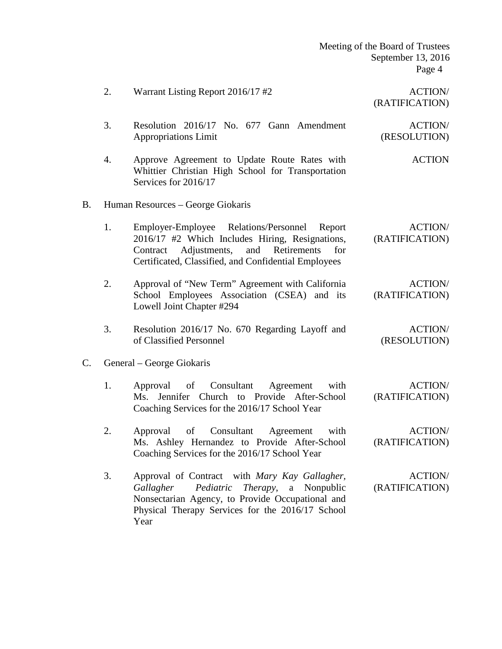|    | 2.                                | Warrant Listing Report 2016/17#2                                                                                                                                                                                      | <b>ACTION/</b><br>(RATIFICATION) |
|----|-----------------------------------|-----------------------------------------------------------------------------------------------------------------------------------------------------------------------------------------------------------------------|----------------------------------|
|    | 3.                                | Resolution 2016/17 No. 677 Gann Amendment<br><b>Appropriations Limit</b>                                                                                                                                              | <b>ACTION/</b><br>(RESOLUTION)   |
|    | 4.                                | Approve Agreement to Update Route Rates with<br>Whittier Christian High School for Transportation<br>Services for 2016/17                                                                                             | <b>ACTION</b>                    |
| Β. | Human Resources – George Giokaris |                                                                                                                                                                                                                       |                                  |
|    | 1.                                | Employer-Employee Relations/Personnel<br>Report<br>2016/17 #2 Which Includes Hiring, Resignations,<br>Adjustments,<br>Retirements<br>and<br>for<br>Contract<br>Certificated, Classified, and Confidential Employees   | <b>ACTION/</b><br>(RATIFICATION) |
|    | 2.                                | Approval of "New Term" Agreement with California<br>School Employees Association (CSEA) and its<br>Lowell Joint Chapter #294                                                                                          | <b>ACTION/</b><br>(RATIFICATION) |
|    | 3.                                | Resolution 2016/17 No. 670 Regarding Layoff and<br>of Classified Personnel                                                                                                                                            | <b>ACTION/</b><br>(RESOLUTION)   |
| C. |                                   | General – George Giokaris                                                                                                                                                                                             |                                  |
|    | 1.                                | Consultant<br>of<br>Agreement<br>with<br>Approval<br>Jennifer Church to Provide After-School<br>Ms.<br>Coaching Services for the 2016/17 School Year                                                                  | <b>ACTION/</b><br>(RATIFICATION) |
|    | 2.                                | Consultant<br>with<br>of<br>Agreement<br>Approval<br>Ms. Ashley Hernandez to Provide After-School<br>Coaching Services for the 2016/17 School Year                                                                    | <b>ACTION/</b><br>(RATIFICATION) |
|    | 3.                                | Approval of Contract with Mary Kay Gallagher,<br>Nonpublic<br>Gallagher<br>Pediatric<br>Therapy,<br>a<br>Nonsectarian Agency, to Provide Occupational and<br>Physical Therapy Services for the 2016/17 School<br>Year | <b>ACTION/</b><br>(RATIFICATION) |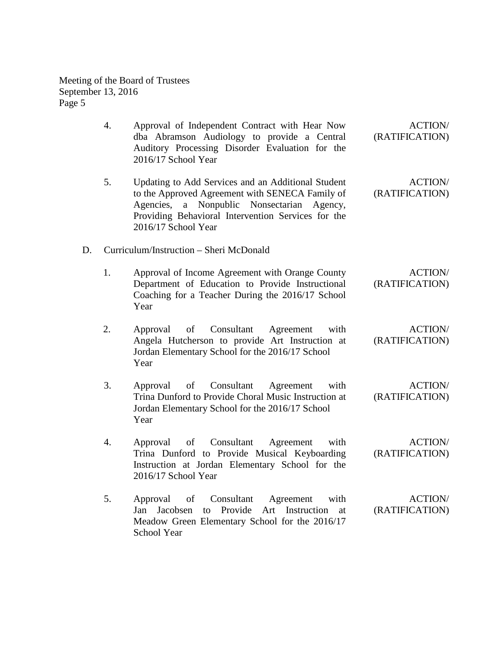|    | 4. | Approval of Independent Contract with Hear Now<br>dba Abramson Audiology to provide a Central<br>Auditory Processing Disorder Evaluation for the<br>2016/17 School Year                                                                   | <b>ACTION/</b><br>(RATIFICATION) |
|----|----|-------------------------------------------------------------------------------------------------------------------------------------------------------------------------------------------------------------------------------------------|----------------------------------|
|    | 5. | Updating to Add Services and an Additional Student<br>to the Approved Agreement with SENECA Family of<br>Agencies,<br>Nonpublic Nonsectarian<br>a<br>Agency,<br>Providing Behavioral Intervention Services for the<br>2016/17 School Year | <b>ACTION/</b><br>(RATIFICATION) |
| D. |    | Curriculum/Instruction – Sheri McDonald                                                                                                                                                                                                   |                                  |
|    | 1. | Approval of Income Agreement with Orange County<br>Department of Education to Provide Instructional<br>Coaching for a Teacher During the 2016/17 School<br>Year                                                                           | <b>ACTION/</b><br>(RATIFICATION) |
|    | 2. | Consultant<br>Approval<br>of<br>Agreement<br>with<br>Angela Hutcherson to provide Art Instruction at<br>Jordan Elementary School for the 2016/17 School<br>Year                                                                           | <b>ACTION/</b><br>(RATIFICATION) |
|    | 3. | of<br>Consultant<br>with<br>Approval<br>Agreement<br>Trina Dunford to Provide Choral Music Instruction at<br>Jordan Elementary School for the 2016/17 School<br>Year                                                                      | <b>ACTION/</b><br>(RATIFICATION) |
|    | 4. | Consultant<br>with<br>Approval<br>of<br>Agreement<br>Trina Dunford to Provide Musical Keyboarding<br>Instruction at Jordan Elementary School for the<br>2016/17 School Year                                                               | <b>ACTION/</b><br>(RATIFICATION) |
|    | 5. | of<br>Consultant<br>with<br>Approval<br>Agreement<br>Provide<br>Art<br>Jan<br>Jacobsen<br>Instruction<br>to<br>at<br>Meadow Green Elementary School for the 2016/17<br><b>School Year</b>                                                 | <b>ACTION/</b><br>(RATIFICATION) |